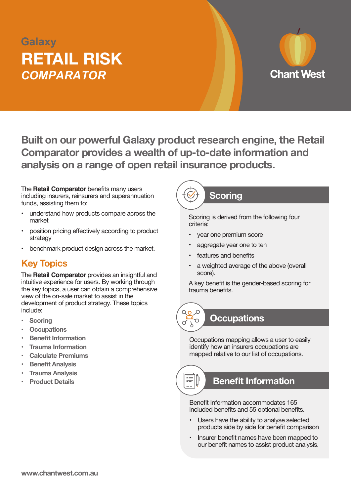## *COMPARATOR* **RETAIL RISK Galaxy**



**Built on our powerful Galaxy product research engine, the Retail Comparator provides a wealth of up-to-date information and analysis on a range of open retail insurance products.**

The **Retail Comparator** benefits many users including insurers, reinsurers and superannuation funds, assisting them to:

- understand how products compare across the market
- position pricing effectively according to product strategy
- benchmark product design across the market.

#### **Key Topics**

The **Retail Comparator** provides an insightful and intuitive experience for users. By working through the key topics, a user can obtain a comprehensive view of the on-sale market to assist in the development of product strategy. These topics include:

- **• Scoring**
- **• Occupations**
- **Benefit Information**
- **Trauma** Information
- **• Calculate Premiums**
- **Benefit Analysis**
- **Trauma Analysis**
- **Product Details**

### **Scoring**

Scoring is derived from the following four criteria:

- year one premium score
- aggregate year one to ten
- features and benefits
- a weighted average of the above (overall score).

A key benefit is the gender-based scoring for trauma benefits.



#### **Occupations**

Occupations mapping allows a user to easily identify how an insurers occupations are mapped relative to our list of occupations.

#### **Benefit Information**

Benefit Information accommodates 165 included benefits and 55 optional benefits.

- Users have the ability to analyse selected products side by side for benefit comparison
- Insurer benefit names have been mapped to our benefit names to assist product analysis.